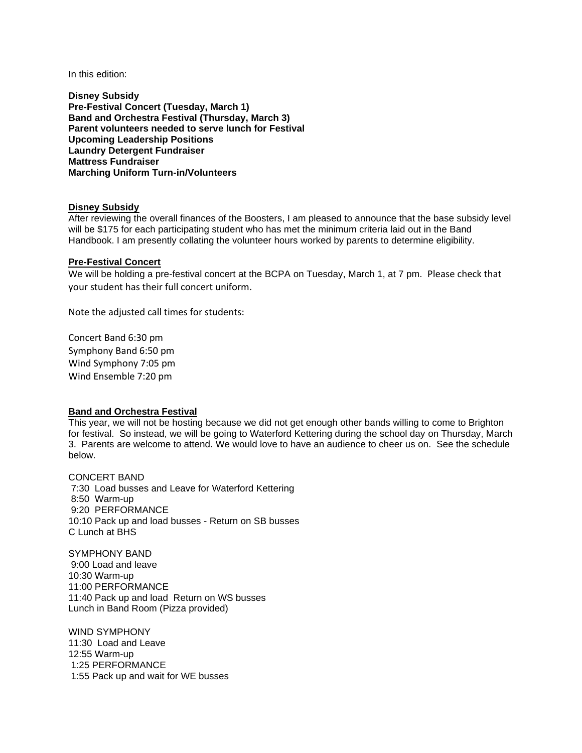In this edition:

**Disney Subsidy Pre-Festival Concert (Tuesday, March 1) Band and Orchestra Festival (Thursday, March 3) Parent volunteers needed to serve lunch for Festival Upcoming Leadership Positions Laundry Detergent Fundraiser Mattress Fundraiser Marching Uniform Turn-in/Volunteers**

#### **Disney Subsidy**

After reviewing the overall finances of the Boosters, I am pleased to announce that the base subsidy level will be \$175 for each participating student who has met the minimum criteria laid out in the Band Handbook. I am presently collating the volunteer hours worked by parents to determine eligibility.

### **Pre-Festival Concert**

We will be holding a pre-festival concert at the BCPA on Tuesday, March 1, at 7 pm. Please check that your student has their full concert uniform.

Note the adjusted call times for students:

Concert Band 6:30 pm Symphony Band 6:50 pm Wind Symphony 7:05 pm Wind Ensemble 7:20 pm

#### **Band and Orchestra Festival**

This year, we will not be hosting because we did not get enough other bands willing to come to Brighton for festival. So instead, we will be going to Waterford Kettering during the school day on Thursday, March 3. Parents are welcome to attend. We would love to have an audience to cheer us on. See the schedule below.

CONCERT BAND 7:30 Load busses and Leave for Waterford Kettering 8:50 Warm-up 9:20 PERFORMANCE 10:10 Pack up and load busses - Return on SB busses C Lunch at BHS

SYMPHONY BAND 9:00 Load and leave 10:30 Warm-up 11:00 PERFORMANCE 11:40 Pack up and load Return on WS busses Lunch in Band Room (Pizza provided)

WIND SYMPHONY 11:30 Load and Leave 12:55 Warm-up 1:25 PERFORMANCE 1:55 Pack up and wait for WE busses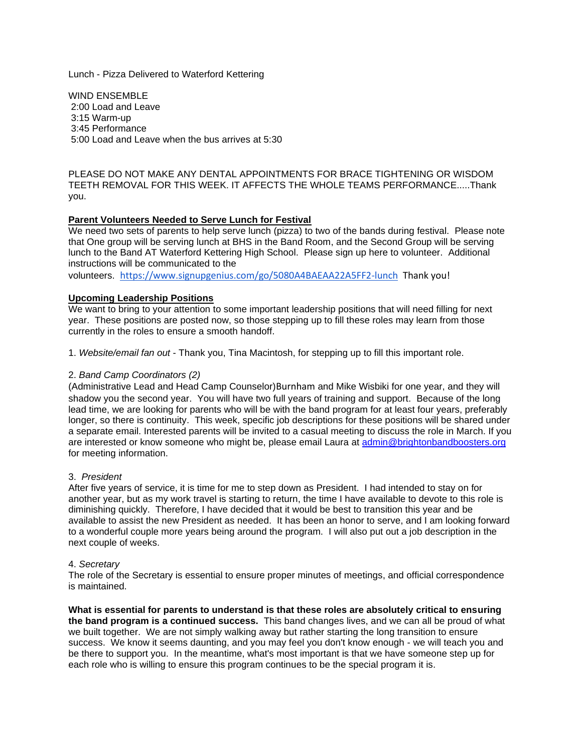Lunch - Pizza Delivered to Waterford Kettering

WIND ENSEMBLE 2:00 Load and Leave 3:15 Warm-up 3:45 Performance 5:00 Load and Leave when the bus arrives at 5:30

PLEASE DO NOT MAKE ANY DENTAL APPOINTMENTS FOR BRACE TIGHTENING OR WISDOM TEETH REMOVAL FOR THIS WEEK. IT AFFECTS THE WHOLE TEAMS PERFORMANCE.....Thank you.

## **Parent Volunteers Needed to Serve Lunch for Festival**

We need two sets of parents to help serve lunch (pizza) to two of the bands during festival. Please note that One group will be serving lunch at BHS in the Band Room, and the Second Group will be serving lunch to the Band AT Waterford Kettering High School. Please sign up here to volunteer. Additional instructions will be communicated to the

volunteers. <https://www.signupgenius.com/go/5080A4BAEAA22A5FF2-lunch> Thank you!

## **Upcoming Leadership Positions**

We want to bring to your attention to some important leadership positions that will need filling for next year. These positions are posted now, so those stepping up to fill these roles may learn from those currently in the roles to ensure a smooth handoff.

1. *Website/email fan out* - Thank you, Tina Macintosh, for stepping up to fill this important role.

#### 2. *Band Camp Coordinators (2)*

(Administrative Lead and Head Camp Counselor)Burnham and Mike Wisbiki for one year, and they will shadow you the second year. You will have two full years of training and support. Because of the long lead time, we are looking for parents who will be with the band program for at least four years, preferably longer, so there is continuity. This week, specific job descriptions for these positions will be shared under a separate email. Interested parents will be invited to a casual meeting to discuss the role in March. If you are interested or know someone who might be, please email Laura at [admin@brightonbandboosters.org](mailto:admin@brightonbandboosters.org) for meeting information.

#### 3. *President*

After five years of service, it is time for me to step down as President. I had intended to stay on for another year, but as my work travel is starting to return, the time I have available to devote to this role is diminishing quickly. Therefore, I have decided that it would be best to transition this year and be available to assist the new President as needed. It has been an honor to serve, and I am looking forward to a wonderful couple more years being around the program. I will also put out a job description in the next couple of weeks.

#### 4. *Secretary*

The role of the Secretary is essential to ensure proper minutes of meetings, and official correspondence is maintained.

**What is essential for parents to understand is that these roles are absolutely critical to ensuring the band program is a continued success.** This band changes lives, and we can all be proud of what we built together. We are not simply walking away but rather starting the long transition to ensure success. We know it seems daunting, and you may feel you don't know enough - we will teach you and be there to support you. In the meantime, what's most important is that we have someone step up for each role who is willing to ensure this program continues to be the special program it is.